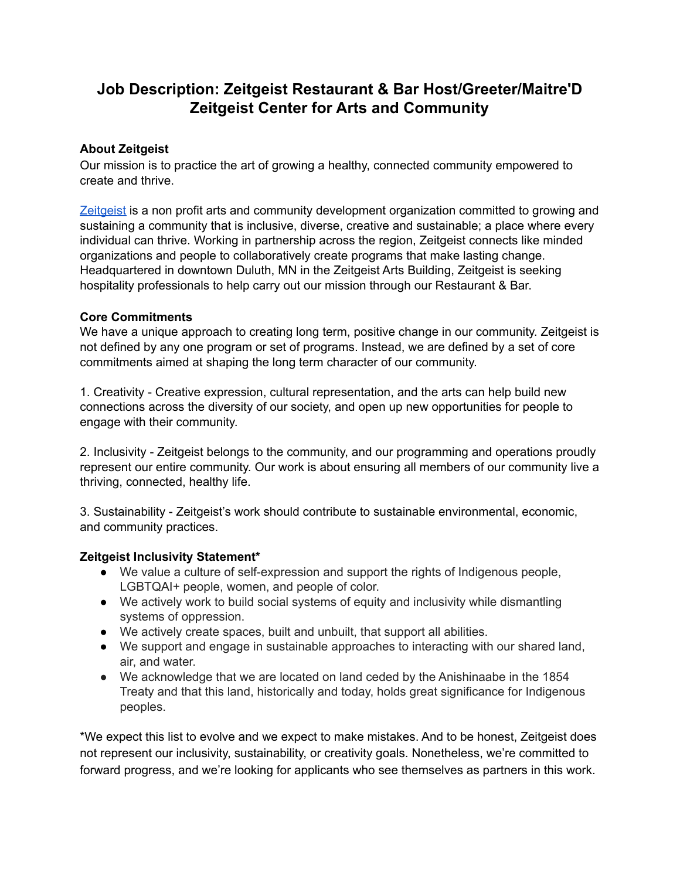# **Job Description: Zeitgeist Restaurant & Bar Host/Greeter/Maitre'D Zeitgeist Center for Arts and Community**

## **About Zeitgeist**

Our mission is to practice the art of growing a healthy, connected community empowered to create and thrive.

[Zeitgeist](https://zeitgeistarts.com/) is a non profit arts and community development organization committed to growing and sustaining a community that is inclusive, diverse, creative and sustainable; a place where every individual can thrive. Working in partnership across the region, Zeitgeist connects like minded organizations and people to collaboratively create programs that make lasting change. Headquartered in downtown Duluth, MN in the Zeitgeist Arts Building, Zeitgeist is seeking hospitality professionals to help carry out our mission through our Restaurant & Bar.

#### **Core Commitments**

We have a unique approach to creating long term, positive change in our community. Zeitgeist is not defined by any one program or set of programs. Instead, we are defined by a set of core commitments aimed at shaping the long term character of our community.

1. Creativity - Creative expression, cultural representation, and the arts can help build new connections across the diversity of our society, and open up new opportunities for people to engage with their community.

2. Inclusivity - Zeitgeist belongs to the community, and our programming and operations proudly represent our entire community. Our work is about ensuring all members of our community live a thriving, connected, healthy life.

3. Sustainability - Zeitgeist's work should contribute to sustainable environmental, economic, and community practices.

#### **Zeitgeist Inclusivity Statement\***

- We value a culture of self-expression and support the rights of Indigenous people, LGBTQAI+ people, women, and people of color.
- We actively work to build social systems of equity and inclusivity while dismantling systems of oppression.
- We actively create spaces, built and unbuilt, that support all abilities.
- We support and engage in sustainable approaches to interacting with our shared land, air, and water.
- We acknowledge that we are located on land ceded by the Anishinaabe in the 1854 Treaty and that this land, historically and today, holds great significance for Indigenous peoples.

\*We expect this list to evolve and we expect to make mistakes. And to be honest, Zeitgeist does not represent our inclusivity, sustainability, or creativity goals. Nonetheless, we're committed to forward progress, and we're looking for applicants who see themselves as partners in this work.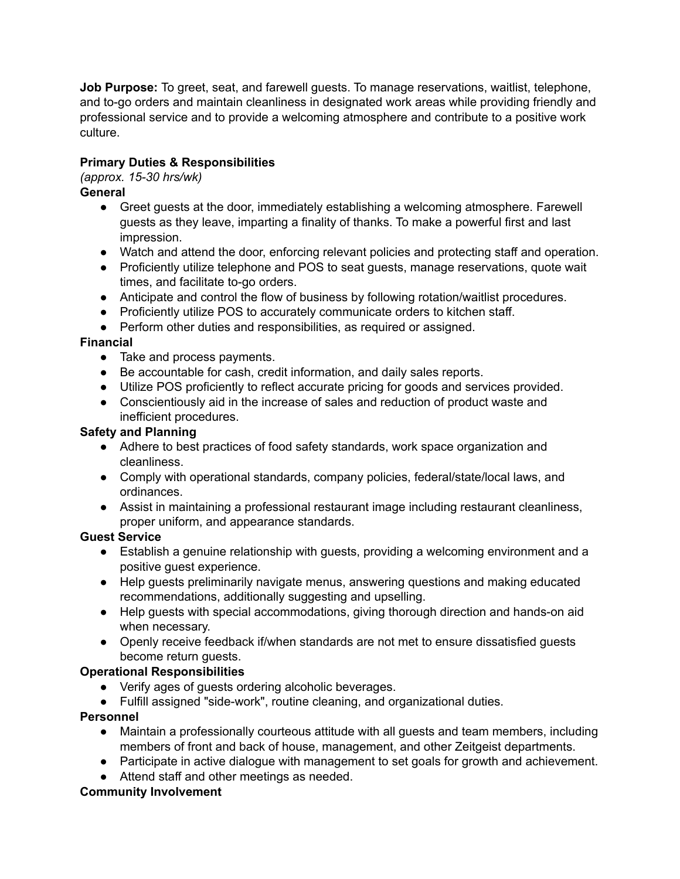**Job Purpose:** To greet, seat, and farewell guests. To manage reservations, waitlist, telephone, and to-go orders and maintain cleanliness in designated work areas while providing friendly and professional service and to provide a welcoming atmosphere and contribute to a positive work culture.

# **Primary Duties & Responsibilities**

*(approx. 15-30 hrs/wk)*

#### **General**

- Greet guests at the door, immediately establishing a welcoming atmosphere. Farewell guests as they leave, imparting a finality of thanks. To make a powerful first and last impression.
- Watch and attend the door, enforcing relevant policies and protecting staff and operation.
- Proficiently utilize telephone and POS to seat guests, manage reservations, quote wait times, and facilitate to-go orders.
- Anticipate and control the flow of business by following rotation/waitlist procedures.
- Proficiently utilize POS to accurately communicate orders to kitchen staff.
- Perform other duties and responsibilities, as required or assigned.

## **Financial**

- Take and process payments.
- Be accountable for cash, credit information, and daily sales reports.
- Utilize POS proficiently to reflect accurate pricing for goods and services provided.
- Conscientiously aid in the increase of sales and reduction of product waste and inefficient procedures.

#### **Safety and Planning**

- Adhere to best practices of food safety standards, work space organization and cleanliness.
- Comply with operational standards, company policies, federal/state/local laws, and ordinances.
- Assist in maintaining a professional restaurant image including restaurant cleanliness, proper uniform, and appearance standards.

## **Guest Service**

- Establish a genuine relationship with guests, providing a welcoming environment and a positive guest experience.
- Help guests preliminarily navigate menus, answering questions and making educated recommendations, additionally suggesting and upselling.
- Help guests with special accommodations, giving thorough direction and hands-on aid when necessary.
- Openly receive feedback if/when standards are not met to ensure dissatisfied guests become return guests.

## **Operational Responsibilities**

- Verify ages of guests ordering alcoholic beverages.
- Fulfill assigned "side-work", routine cleaning, and organizational duties.

## **Personnel**

- Maintain a professionally courteous attitude with all guests and team members, including members of front and back of house, management, and other Zeitgeist departments.
- Participate in active dialogue with management to set goals for growth and achievement.
- Attend staff and other meetings as needed.

## **Community Involvement**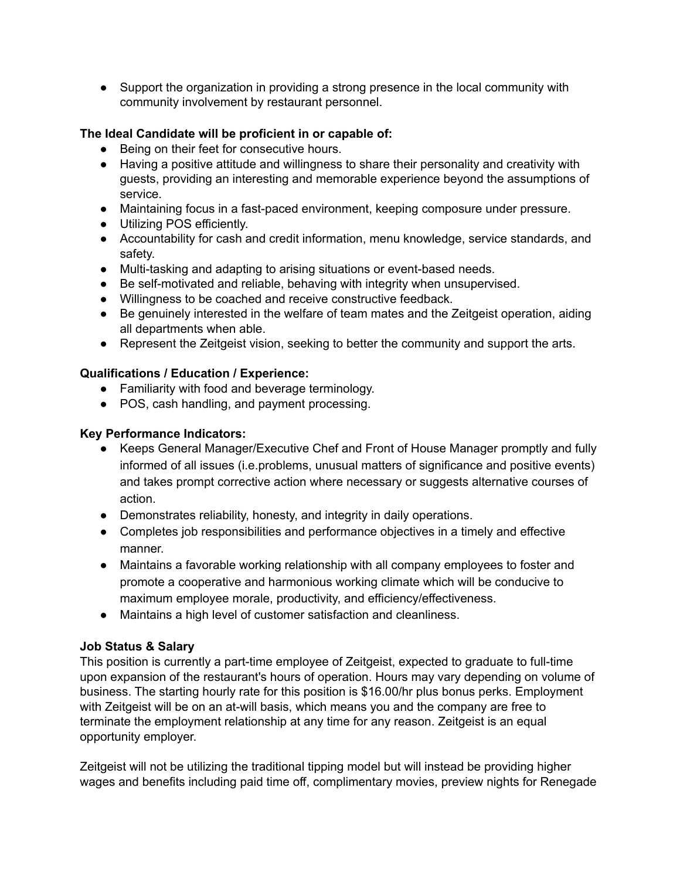• Support the organization in providing a strong presence in the local community with community involvement by restaurant personnel.

## **The Ideal Candidate will be proficient in or capable of:**

- Being on their feet for consecutive hours.
- Having a positive attitude and willingness to share their personality and creativity with guests, providing an interesting and memorable experience beyond the assumptions of service.
- Maintaining focus in a fast-paced environment, keeping composure under pressure.
- Utilizing POS efficiently.
- Accountability for cash and credit information, menu knowledge, service standards, and safety.
- Multi-tasking and adapting to arising situations or event-based needs.
- Be self-motivated and reliable, behaving with integrity when unsupervised.
- Willingness to be coached and receive constructive feedback.
- Be genuinely interested in the welfare of team mates and the Zeitgeist operation, aiding all departments when able.
- Represent the Zeitgeist vision, seeking to better the community and support the arts.

#### **Qualifications / Education / Experience:**

- **●** Familiarity with food and beverage terminology.
- POS, cash handling, and payment processing.

#### **Key Performance Indicators:**

- Keeps General Manager/Executive Chef and Front of House Manager promptly and fully informed of all issues (i.e.problems, unusual matters of significance and positive events) and takes prompt corrective action where necessary or suggests alternative courses of action.
- Demonstrates reliability, honesty, and integrity in daily operations.
- Completes job responsibilities and performance objectives in a timely and effective manner.
- Maintains a favorable working relationship with all company employees to foster and promote a cooperative and harmonious working climate which will be conducive to maximum employee morale, productivity, and efficiency/effectiveness.
- Maintains a high level of customer satisfaction and cleanliness.

#### **Job Status & Salary**

This position is currently a part-time employee of Zeitgeist, expected to graduate to full-time upon expansion of the restaurant's hours of operation. Hours may vary depending on volume of business. The starting hourly rate for this position is \$16.00/hr plus bonus perks. Employment with Zeitgeist will be on an at-will basis, which means you and the company are free to terminate the employment relationship at any time for any reason. Zeitgeist is an equal opportunity employer.

Zeitgeist will not be utilizing the traditional tipping model but will instead be providing higher wages and benefits including paid time off, complimentary movies, preview nights for Renegade